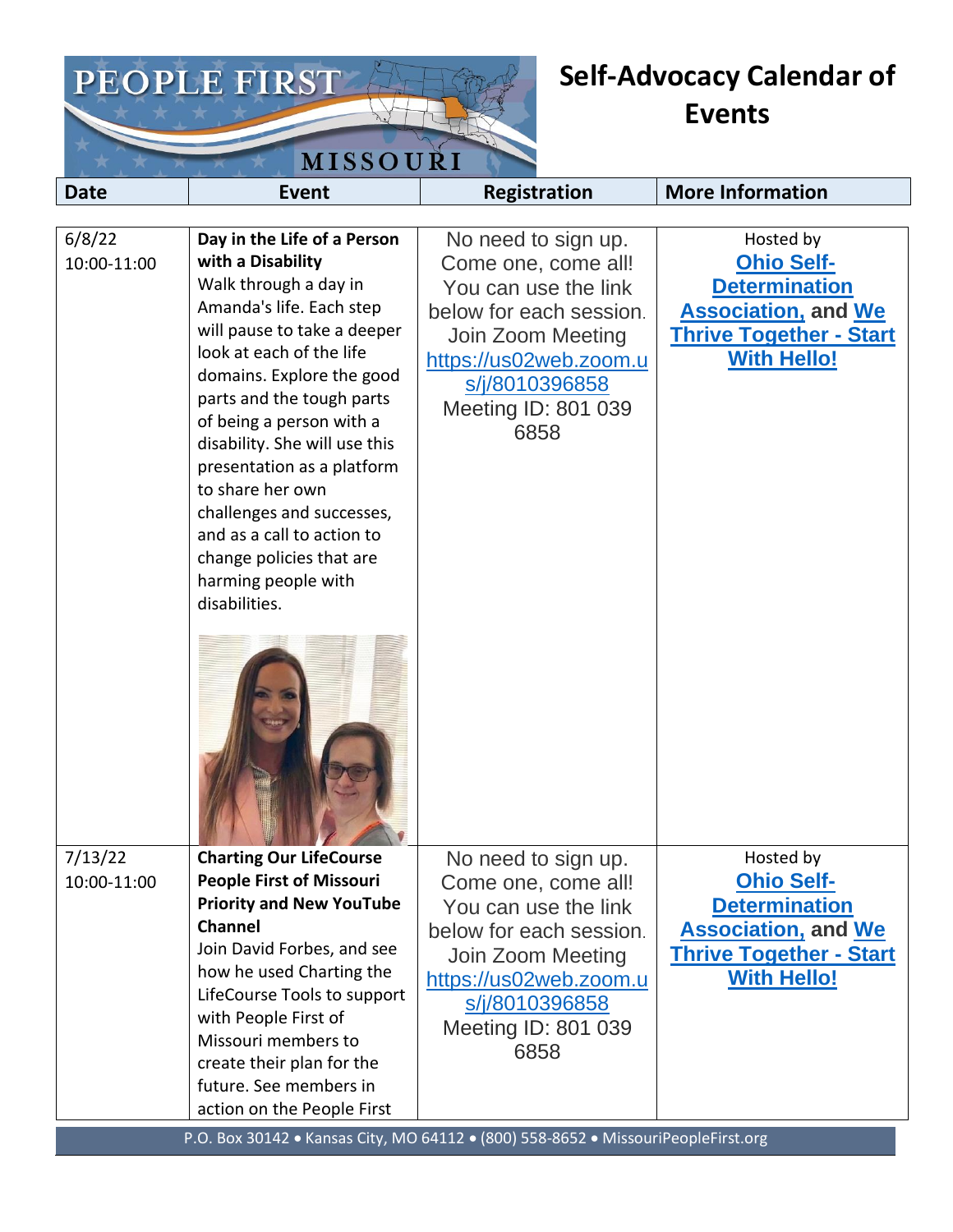

## **Self-Advocacy Calendar of Events**

| <b>Date</b>            | Event                                                                                                                                                                                                                                                                                                                                                                                                                                                                    | <b>Registration</b>                                                                                                                                                                                  | <b>More Information</b>                                                                                                                      |
|------------------------|--------------------------------------------------------------------------------------------------------------------------------------------------------------------------------------------------------------------------------------------------------------------------------------------------------------------------------------------------------------------------------------------------------------------------------------------------------------------------|------------------------------------------------------------------------------------------------------------------------------------------------------------------------------------------------------|----------------------------------------------------------------------------------------------------------------------------------------------|
|                        |                                                                                                                                                                                                                                                                                                                                                                                                                                                                          |                                                                                                                                                                                                      |                                                                                                                                              |
| 6/8/22<br>10:00-11:00  | Day in the Life of a Person<br>with a Disability<br>Walk through a day in<br>Amanda's life. Each step<br>will pause to take a deeper<br>look at each of the life<br>domains. Explore the good<br>parts and the tough parts<br>of being a person with a<br>disability. She will use this<br>presentation as a platform<br>to share her own<br>challenges and successes,<br>and as a call to action to<br>change policies that are<br>harming people with<br>disabilities. | No need to sign up.<br>Come one, come all!<br>You can use the link<br>below for each session.<br>Join Zoom Meeting<br>https://us02web.zoom.u<br>s/j/8010396858<br>Meeting ID: 801 039<br>6858        | Hosted by<br><b>Ohio Self-</b><br><b>Determination</b><br><b>Association, and We</b><br><b>Thrive Together - Start</b><br><b>With Hello!</b> |
| 7/13/22<br>10:00-11:00 | <b>Charting Our LifeCourse</b><br><b>People First of Missouri</b><br><b>Priority and New YouTube</b><br><b>Channel</b><br>Join David Forbes, and see<br>how he used Charting the<br>LifeCourse Tools to support<br>with People First of<br>Missouri members to<br>create their plan for the<br>future. See members in<br>action on the People First                                                                                                                      | No need to sign up.<br>Come one, come all!<br>You can use the link<br>below for each session.<br>Join Zoom Meeting<br>https://us02web.zoom.u<br><u>s/j/8010396858</u><br>Meeting ID: 801 039<br>6858 | Hosted by<br><b>Ohio Self-</b><br><b>Determination</b><br><b>Association, and We</b><br><b>Thrive Together - Start</b><br><b>With Hello!</b> |

P.O. Box 30142 • Kansas City, MO 64112 • (800) 558-8652 • MissouriPeopleFirst.org